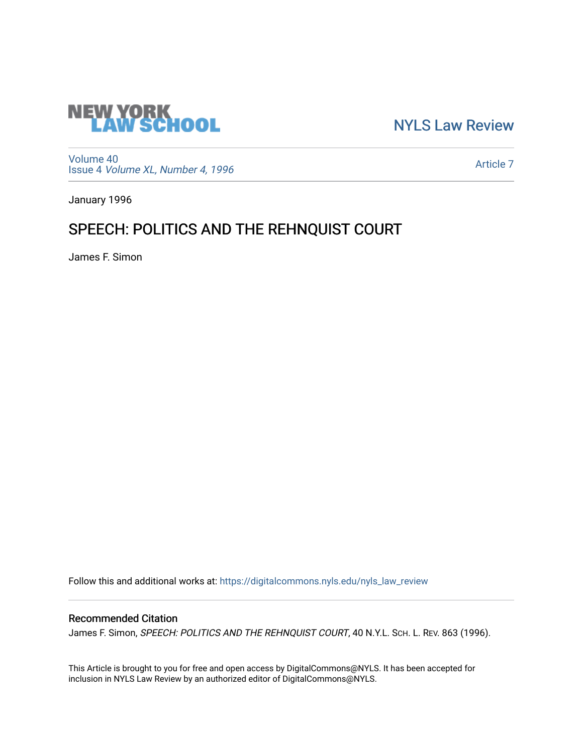

[NYLS Law Review](https://digitalcommons.nyls.edu/nyls_law_review) 

[Volume 40](https://digitalcommons.nyls.edu/nyls_law_review/vol40) Issue 4 [Volume XL, Number 4, 1996](https://digitalcommons.nyls.edu/nyls_law_review/vol40/iss4)

[Article 7](https://digitalcommons.nyls.edu/nyls_law_review/vol40/iss4/7) 

January 1996

## SPEECH: POLITICS AND THE REHNQUIST COURT

James F. Simon

Follow this and additional works at: [https://digitalcommons.nyls.edu/nyls\\_law\\_review](https://digitalcommons.nyls.edu/nyls_law_review?utm_source=digitalcommons.nyls.edu%2Fnyls_law_review%2Fvol40%2Fiss4%2F7&utm_medium=PDF&utm_campaign=PDFCoverPages) 

## Recommended Citation

James F. Simon, SPEECH: POLITICS AND THE REHNQUIST COURT, 40 N.Y.L. SCH. L. REV. 863 (1996).

This Article is brought to you for free and open access by DigitalCommons@NYLS. It has been accepted for inclusion in NYLS Law Review by an authorized editor of DigitalCommons@NYLS.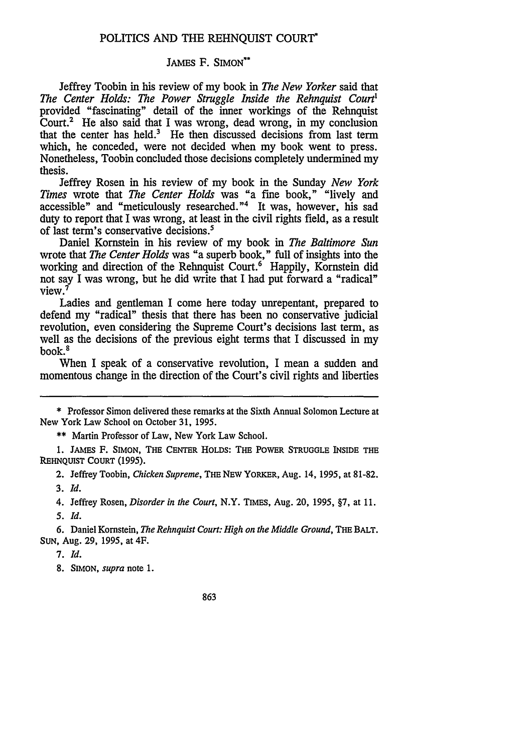## POLITICS AND THE REHNQUIST COURT'

## JAMES F. SIMON\*\*

Jeffrey Toobin in his review of my book in *The New Yorker* said that *The Center Holds: The Power Struggle Inside the Rehnquist Court'* provided "fascinating" detail of the inner workings of the Rehnquist Court.<sup>2</sup> He also said that I was wrong, dead wrong, in my conclusion that the center has held. $3$  He then discussed decisions from last term which, he conceded, were not decided when my book went to press. Nonetheless, Toobin concluded those decisions completely undermined my thesis.

Jeffrey Rosen in his review of my book in the Sunday *New York Times* wrote that *The Center Holds* was "a fine book," "lively and accessible" and "meticulously researched."<sup>4</sup> It was, however, his sad duty to report that I was wrong, at least in the civil rights field, as a result of last term's conservative decisions.'

Daniel Kornstein in his review of my book in *The Baltimore Sun* wrote that *The Center Holds* was "a superb book," full of insights into the working and direction of the Rehnquist Court.<sup>6</sup> Happily, Kornstein did not say I was wrong, but he did write that I had put forward a "radical" view.<sup>7</sup>

Ladies and gentleman I come here today unrepentant, prepared to defend my "radical" thesis that there has been no conservative judicial revolution, even considering the Supreme Court's decisions last term, as well as the decisions of the previous eight terms that I discussed in my book.'

When I speak of a conservative revolution, I mean a sudden and momentous change in the direction of the Court's civil rights and liberties

\*\* Martin Professor of Law, New York Law School.

**1. JAMES** F. **SIMON, THE CENTER HOLDS: THE** POWER **STRUGGLE INSIDE THE REHNQUIST COURT (1995).**

2. Jeffrey Toobin, *Chicken Supreme,* **THE NEW YORKER, Aug. 14, 1995, at** 81-82. **3.** *Id.*

4. Jeffrey Rosen, *Disorder in the Court,* N.Y. TIMES, Aug. 20, 1995, §7, at 11. **5.** Id.

6. Daniel Kornstein, The Rehnquist Court: High on the Middle Ground, THE BAIT. **SUN,** Aug. **29,** 1995, at 4F.

7. **Id.**

8. **SIMON,** *supra* note **1.**

863

<sup>\*</sup> Professor Simon delivered these remarks at the Sixth Annual Solomon Lecture at New York Law School on October 31, 1995.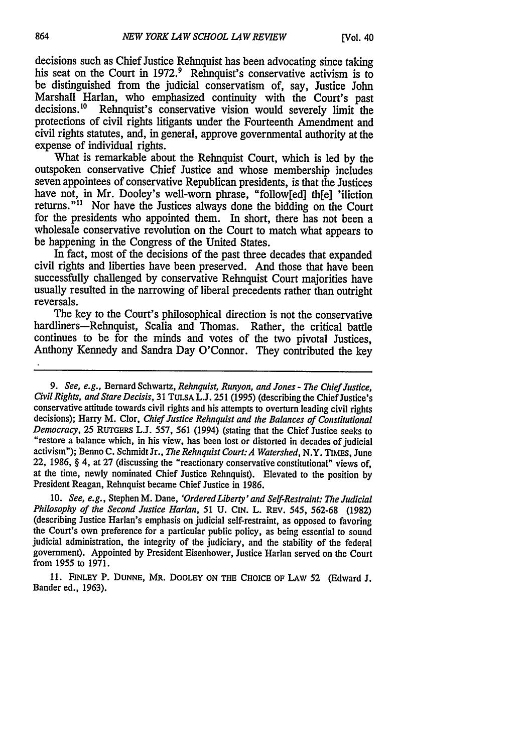decisions such as Chief Justice Rehnquist has been advocating since taking his seat on the Court in 1972.<sup>9</sup> Rehnquist's conservative activism is to be distinguished from the judicial conservatism of, say, Justice John Marshall Harlan, who emphasized continuity with the Court's past decisions.<sup>10</sup> Rehnquist's conservative vision would severely limit the protections of civil rights litigants under the Fourteenth Amendment and civil rights statutes, and, in general, approve governmental authority at the expense of individual rights.

What is remarkable about the Rehnquist Court, which is led by the outspoken conservative Chief Justice and whose membership includes seven appointees of conservative Republican presidents, is that the Justices have not, in Mr. Dooley's well-worn phrase, "follow[ed] th[e] 'iliction returns."<sup>11</sup> Nor have the Justices always done the bidding on the Court for the presidents who appointed them. In short, there has not been a wholesale conservative revolution on the Court to match what appears to be happening in the Congress of the United States.

In fact, most of the decisions of the past three decades that expanded civil rights and liberties have been preserved. And those that have been successfully challenged by conservative Rehnquist Court majorities have usually resulted in the narrowing of liberal precedents rather than outright reversals.

The key to the Court's philosophical direction is not the conservative hardliners-Rehnquist, Scalia and Thomas. Rather, the critical battle continues to be for the minds and votes of the two pivotal Justices, Anthony Kennedy and Sandra Day O'Connor. They contributed the key

*9. See, e.g.,* Bernard Schwartz, *Rehnquist, Runyon, and Jones - The Chief Justice, Civil Rights, and Stare Decisis,* 31 **TULSA** L.J. 251 (1995) (describing the Chief Justice's conservative attitude towards civil rights and his attempts to overturn leading civil rights decisions); Harry M. Clor, *Chief Justice Rehnquist and the Balances of Constitutional Democracy*, 25 RUTGERS L.J. 557, 561 (1994) (stating that the Chief Justice seeks to "restore a balance which, in his view, has been lost or distorted in decades of judicial activism"); Benno C. Schmidt Jr., *The Rehnquist Court:A Watershed,* N.Y. TIMEs, June 22, 1986, § 4, at 27 (discussing the "reactionary conservative constitutional" views of, at the time, newly nominated Chief Justice Rehnquist). Elevated to the position by President Reagan, Rehnquist became Chief Justice in 1986.

10. *See, e.g.,* Stephen M. Dane, *'Ordered Liberty 'and Self-Restraint: The Judicial Philosophy of the Second Justice Harlan, 51* U. CIN. L. REV. 545, 562-68 (1982) (describing Justice Harlan's emphasis on judicial self-restraint, as opposed to favoring the Court's own preference for a particular public policy, as being essential to sound judicial administration, the integrity of the judiciary, and the stability of the federal government). Appointed by President Eisenhower, Justice Harlan served on the Court from 1955 to 1971.

**11. FINLEY** P. **DUNNE,** MR. DOOLEY **ON THE** CHOICE **OF** LAW **52** (Edward **J.** Bander ed., 1963).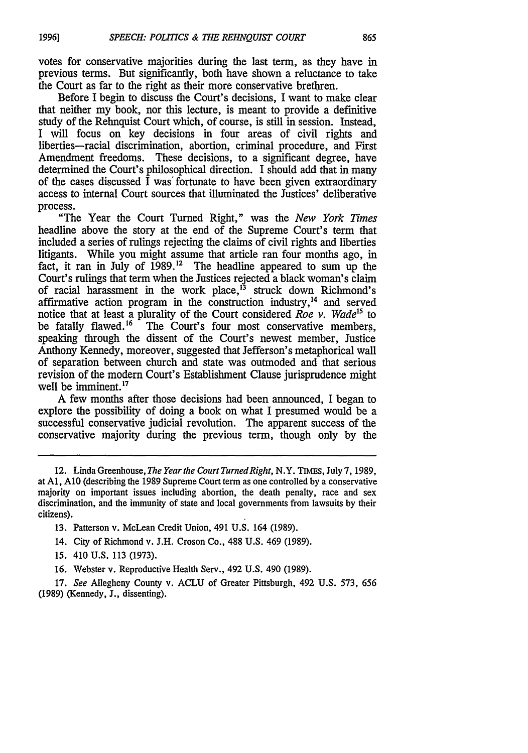votes for conservative majorities during the last term, as they have in previous terms. But significantly, both have shown a reluctance to take the Court as far to the right as their more conservative brethren.

Before I begin to discuss the Court's decisions, I want to make clear that neither my book, nor this lecture, is meant to provide a definitive study of the Rehnquist Court which, of course, is still in session. Instead, I will focus on key decisions in four areas of civil rights and liberties-racial discrimination, abortion, criminal procedure, and First Amendment freedoms. These decisions, to a significant degree, have determined the Court's philosophical direction. I should add that in many of the cases discussed  $\overline{I}$  was fortunate to have been given extraordinary access to internal Court sources that illuminated the Justices' deliberative process.

"The Year the Court Turned Right," was the *New York Times* headline above the story at the end of the Supreme Court's term that included a series of rulings rejecting the claims of civil rights and liberties litigants. While you might assume that article ran four months ago, in fact, it ran in July of 1989.<sup>12</sup> The headline appeared to sum up the Court's rulings that term when the Justices rejected a black woman's claim of racial harassment in the work place,<sup>13</sup> struck down Richmond's affirmative action program in the construction industry,<sup>14</sup> and served notice that at least a plurality of the Court considered *Roe v. Wade*<sup>15</sup> to be fatally flawed.<sup>16</sup> The Court's four most conservative members. The Court's four most conservative members, speaking through the dissent of the Court's newest member, Justice Anthony Kennedy, moreover, suggested that Jefferson's metaphorical wall of separation between church and state was outmoded and that serious revision of the modern Court's Establishment Clause jurisprudence might well be imminent.<sup>17</sup>

A few months after those decisions had been announced, I began to explore the possibility of doing a book on what I presumed would be a successful conservative judicial revolution. The apparent success of the conservative majority during the previous term, though only by the

- 14. City of Richmond v. J.H. Croson Co., 488 U.S. 469 (1989).
- 15. 410 U.S. 113 (1973).
- 16. Webster v. Reproductive Health Serv., 492 U.S. 490 (1989).

17. *See* Allegheny County v. ACLU of Greater Pittsburgh, 492 U.S. 573, 656 (1989) (Kennedy, J., dissenting).

<sup>12.</sup> Linda Greenhouse, *The Year the Court TurnedRight,* N.Y. TIMES, July 7, 1989, at **Al, A10** (describing the 1989 Supreme Court term as one controlled by a conservative majority on important issues including abortion, the death penalty, race and sex discrimination, and the immunity of state and local governments from lawsuits by their citizens).

<sup>13.</sup> Patterson v. McLean Credit Union, 491 U.S. 164 (1989).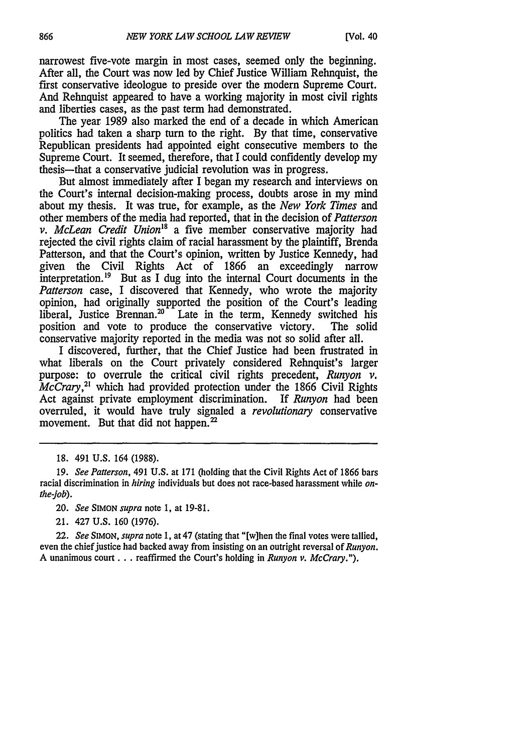narrowest five-vote margin in most cases, seemed only the beginning. After all, the Court was now led by Chief Justice William Rehnquist, the first conservative ideologue to preside over the modern Supreme Court. And Rehnquist appeared to have a working majority in most civil rights and liberties cases, as the past term had demonstrated.

The year 1989 also marked the end of a decade in which American politics had taken a sharp turn to the right. By that time, conservative Republican presidents had appointed eight consecutive members to the Supreme Court. It seemed, therefore, that I could confidently develop my thesis-that a conservative judicial revolution was in progress.

But almost immediately after I began my research and interviews on the Court's internal decision-making process, doubts arose in my mind about my thesis. It was true, for example, as the *New York Times* and other members of the media had reported, that in the decision of *Patterson v. McLean Credit Union*<sup>18</sup> a five member conservative majority had rejected the civil rights claim of racial harassment by the plaintiff, Brenda Patterson, and that the Court's opinion, written by Justice Kennedy, had given the Civil Rights Act of 1866 an exceedingly narrow interpretation.<sup>19</sup> But as I dug into the internal Court documents in the *Patterson* case, I discovered that Kennedy, who wrote the majority opinion, had originally supported the position of the Court's leading liberal, Justice Brennan.<sup>20</sup> Late in the term, Kennedy switched his position and vote to produce the conservative victory. The solid conservative majority reported in the media was not so solid after all.

I discovered, further, that the Chief Justice had been frustrated in what liberals on the Court privately considered Rehnquist's larger purpose: to overrule the critical civil rights precedent, *Runyon v. McCrary*,<sup>21</sup> which had provided protection under the 1866 Civil Rights Act against private employment discrimination. If *Runyon* had been overruled, it would have truly signaled a *revolutionary* conservative movement. But that did not happen.<sup>22</sup>

20. *See* SIMON *supra* note 1, at 19-81.

21. 427 U.S. 160 (1976).

22. *See* SIMON, *supra* note 1, at 47 (stating that "[w]hen the final votes were tallied, even the chief justice had backed away from insisting on an outright reversal of *Runyon.* A unanimous court **...** reaffirmed the Court's holding in *Runyon v. McCrary.").*

<sup>18. 491</sup> U.S. 164 (1988).

<sup>19.</sup> *See Patterson,* 491 U.S. at 171 (holding that the Civil Rights Act of 1866 bars racial discrimination in *hiring* individuals but does not race-based harassment while *onthe-job).*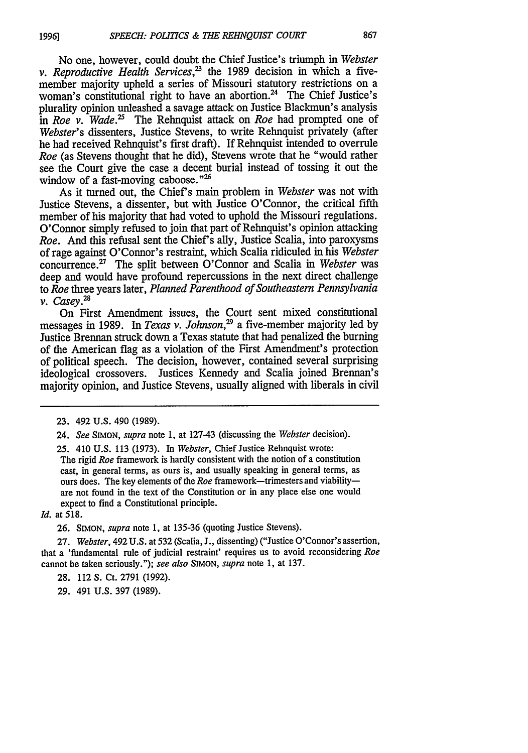No one, however, could doubt the Chief Justice's triumph in *Webster v. Reproductive Health Services,'8* the 1989 decision in which a fivemember majority upheld a series of Missouri statutory restrictions on a woman's constitutional right to have an abortion.<sup>24</sup> The Chief Justice's plurality opinion unleashed a savage attack on Justice Blackmun's analysis in *Roe* v. Wade.<sup>25</sup> The Rehnquist attack on *Roe* had prompted one of *Webster's* dissenters, Justice Stevens, to write Rehnquist privately (after he had received Rehnquist's first draft). If Rehnquist intended to overrule *Roe* (as Stevens thought that he did), Stevens wrote that he "would rather see the Court give the case a decent burial instead of tossing it out the window of a fast-moving caboose."<sup>26</sup>

As it turned out, the Chief's main problem in *Webster* was not with Justice Stevens, a dissenter, but with Justice O'Connor, the critical fifth member of his majority that had voted to uphold the Missouri regulations. O'Connor simply refused to join that part of Rehnquist's opinion attacking *Roe.* And this refusal sent the Chief's ally, Justice Scalia, into paroxysms of rage against O'Connor's restraint, which Scalia ridiculed in his *Webster* concurrence.<sup>27</sup> The split between O'Connor and Scalia in *Webster* was deep and would have profound repercussions in the next direct challenge to *Roe* three years later, *Planned Parenthood of Southeastern Pennsylvania v. Casey.28*

On First Amendment issues, the Court sent mixed constitutional messages in 1989. In *Texas v. Johnson*<sup>29</sup> a five-member majority led by Justice Brennan struck down a Texas statute that had penalized the burning of the American flag as a violation of the First Amendment's protection of political speech. The decision, however, contained several surprising ideological crossovers. Justices Kennedy and Scalia joined Brennan's majority opinion, and Justice Stevens, usually aligned with liberals in civil

24. *See* SIMON, *supra* note 1, at 127-43 (discussing the *Webster* decision).

25. 410 U.S. 113 (1973). In *Webster,* Chief Justice Rehnquist wrote: The rigid *Roe* framework is hardly consistent with the notion of a constitution cast, in general terms, as ours is, and usually speaking in general terms, as ours does. The key elements of the *Roe* framework-trimesters and viabilityare not found in the text of the Constitution or in any place else one would expect to find a Constitutional principle.

*Id.* at **518.**

26. SIMON, *supra* note 1, at 135-36 (quoting Justice Stevens).

27. *Webster,* 492 U.S. at 532 (Scalia, J., dissenting) ("Justice O'Connor's assertion, that a 'fundamental rule of judicial restraint' requires us to avoid reconsidering *Roe* cannot be taken seriously."); *see also* SIMON, *supra* note 1, at 137.

28. 112 S. Ct. 2791 (1992).

29. 491 U.S. 397 (1989).

<sup>23. 492</sup> U.S. 490 (1989).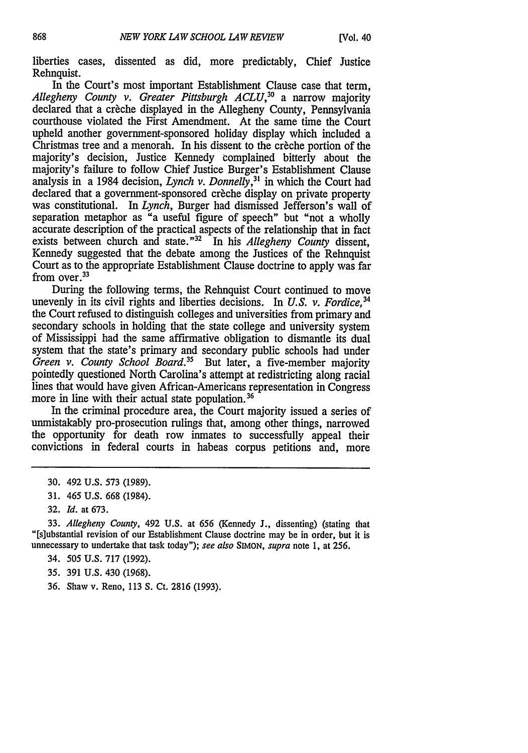liberties cases, dissented as did, more predictably, Chief Justice Rehnquist.

In the Court's most important Establishment Clause case that term, Allegheny County v. Greater Pittsburgh ACLU,<sup>30</sup> a narrow majority declared that a creche displayed in the Allegheny County, Pennsylvania courthouse violated the First Amendment. At the same time the Court upheld another government-sponsored holiday display which included a Christmas tree and a menorah. In his dissent to the creche portion of the majority's decision, Justice Kennedy complained bitterly about the majority's failure to follow Chief Justice Burger's Establishment Clause analysis in a 1984 decision, *Lynch v. Donnelly*,<sup>31</sup> in which the Court had declared that a government-sponsored creche display on private property was constitutional. In *Lynch,* Burger had dismissed Jefferson's wall of separation metaphor as "a useful figure of speech" but "not a wholly accurate description of the practical aspects of the relationship that in fact exists between church and state."32 In his *Allegheny County* dissent, Kennedy suggested that the debate among the Justices of the Rehnquist Court as to the appropriate Establishment Clause doctrine to apply was far from over.<sup>33</sup>

During the following terms, the Rehnquist Court continued to move unevenly in its civil rights and liberties decisions. In *U.S. v. Fordice*<sup>34</sup> the Court refused to distinguish colleges and universities from primary and secondary schools in holding that the state college and university system of Mississippi had the same affirmative obligation to dismantle its dual system that the state's primary and secondary public schools had under *Green v. County School Board*.<sup>35</sup> But later, a five-member majority pointedly questioned North Carolina's attempt at redistricting along racial lines that would have given African-Americans representation in Congress more in line with their actual state population. **36**

In the criminal procedure area, the Court majority issued a series of unmistakably pro-prosecution rulings that, among other things, narrowed the opportunity for death row inmates to successfully appeal their convictions in federal courts in habeas corpus petitions and, more

33. *Allegheny County,* 492 U.S. at 656 (Kennedy J., dissenting) (stating that "[s]ubstantial revision of our Establishment Clause doctrine may be in order, but it is unnecessary to undertake that task today"); *see also* **SIMON,** *supra* note 1, at 256.

- 34. *505* U.S. 717 (1992).
- 35. 391 U.S. 430 (1968).
- 36. Shaw v. Reno, 113 *S.* Ct. 2816 (1993).

<sup>30. 492</sup> U.S. 573 (1989).

<sup>31. 465</sup> U.S. 668 (1984).

<sup>32.</sup> *Id.* at 673.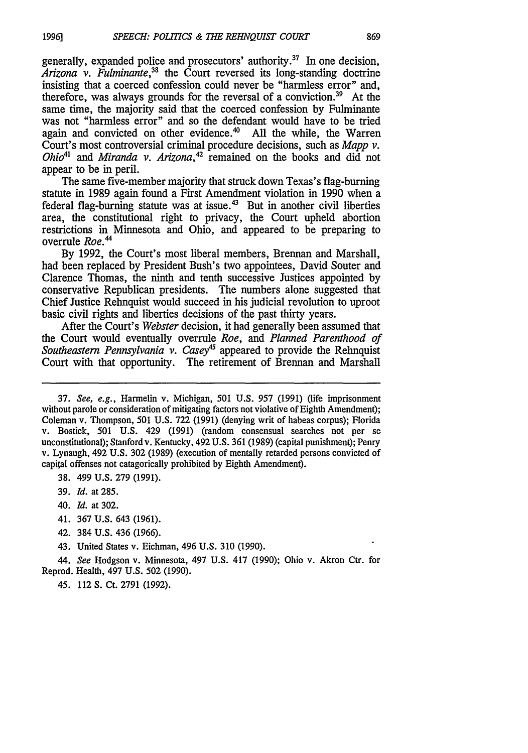generally, expanded police and prosecutors' authority. $37$  In one decision, *Arizona v. Fulminante,38* the Court reversed its long-standing doctrine insisting that a coerced confession could never be "harmless error" and, therefore, was always grounds for the reversal of a conviction.<sup>39</sup> At the same time, the majority said that the coerced confession by Fulminante was not "harmless error" and so the defendant would have to be tried again and convicted on other evidence. $40$  All the while, the Warren Court's most controversial criminal procedure decisions, such as *Mapp v. Ohio*<sup>41</sup> and *Miranda v. Arizona*,<sup>42</sup> remained on the books and did not appear to be in peril.

The same five-member majority that struck down Texas's flag-burning statute in 1989 again found a First Amendment violation in 1990 when a federal flag-burning statute was at issue.<sup>43</sup> But in another civil liberties area, the constitutional right to privacy, the Court upheld abortion restrictions in Minnesota and Ohio, and appeared to be preparing to overrule *Roe.'*

By 1992, the Court's most liberal members, Brennan and Marshall, had been replaced by President Bush's two appointees, David Souter and Clarence Thomas, the ninth and tenth successive Justices appointed by conservative Republican presidents. The numbers alone suggested that Chief Justice Rehnquist would succeed in his judicial revolution to uproot basic civil rights and liberties decisions of the past thirty years.

After the Court's *Webster* decision, it had generally been assumed that the Court would eventually overrule *Roe, and Planned Parenthood of* Southeastern Pennsylvania v. Casey<sup>45</sup> appeared to provide the Rehnquist Court with that opportunity. The retirement of Brennan and Marshall

38. 499 U.S. 279 (1991).

39. *Id.* at 285.

- 40. *Id.* at 302.
- 41. 367 U.S. 643 (1961).
- 42. 384 U.S. 436 (1966).

43. United States v. Eichman, 496 U.S. 310 (1990).

44. *See* Hodgson v. Minnesota, 497 U.S. 417 (1990); Ohio v. Akron Ctr. for Reprod. Health, 497 U.S. 502 (1990).

45. 112 **S.** Ct. 2791 (1992).

<sup>37.</sup> *See, e.g.,* Harmelin v. Michigan, 501 U.S. 957 (1991) (life imprisonment without parole or consideration of mitigating factors not violative of Eighth Amendment); Coleman v. Thompson, 501 U.S. 722 (1991) (denying writ of habeas corpus); Florida v. Bostick, 501 U.S. 429 (1991) (random consensual searches not per se unconstitutional); Stanford v. Kentucky, 492 U.S. 361 (1989) (capital punishment); Penry v. Lynaugh, 492 U.S. 302 (1989) (execution of mentally retarded persons convicted of capital offenses not catagorically prohibited by Eighth Amendment).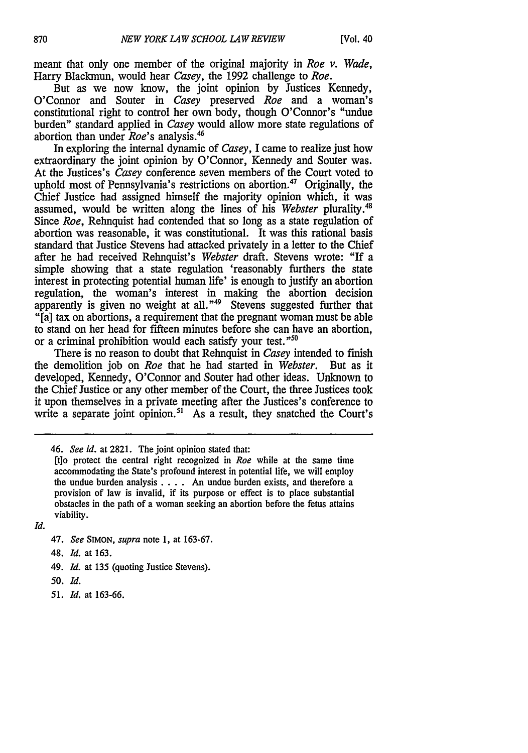meant that only one member of the original majority in *Roe v. Wade,* Harry Blackmun, would hear *Casey,* the 1992 challenge to *Roe.*

But as we now know, the joint opinion by Justices Kennedy, O'Connor and Souter in *Casey* preserved *Roe* and a woman's constitutional right to control her own body, though O'Connor's "undue burden" standard applied in *Casey* would allow more state regulations of abortion than under *Roe's* analysis.'

In exploring the internal dynamic of *Casey,* I came to realize just how extraordinary the joint opinion by O'Connor, Kennedy and Souter was. At the Justices's *Casey* conference seven members of the Court voted to uphold most of Pennsylvania's restrictions on abortion.<sup>47</sup> Originally, the Chief Justice had assigned himself the majority opinion which, it was assumed, would be written along the lines of his *Webster* plurality.48 Since *Roe*, Rehnquist had contended that so long as a state regulation of abortion was reasonable, it was constitutional. It was this rational basis standard that Justice Stevens had attacked privately in a letter to the Chief after he had received Rehnquist's *Webster* draft. Stevens wrote: "If a simple showing that a state regulation 'reasonably furthers the state interest in protecting potential human life' is enough to justify an abortion regulation, the woman's interest in making the abortion decision apparently is given no weight at all.<sup>"49</sup> Stevens suggested further that "[a] tax on abortions, a requirement that the pregnant woman must be able to stand on her head for fifteen minutes before she can have an abortion, or a criminal prohibition would each satisfy your test. *"50*

There is no reason to doubt that Rehnquist in *Casey* intended to finish the demolition job on *Roe* that he had started in *Webster.* But as it developed, Kennedy, O'Connor and Souter had other ideas. Unknown to the Chief Justice or any other member of the Court, the three Justices took it upon themselves in a private meeting after the Justices's conference to write a separate joint opinion.<sup>51</sup> As a result, they snatched the Court's

[t]o protect the central right recognized in *Roe* while at the same time accommodating the State's profound interest in potential life, we will employ the undue burden analysis .... An undue burden exists, and therefore a provision of law is invalid, if its purpose or effect is to place substantial obstacles in the path of a woman seeking an abortion before the fetus attains viability.

*Id.*

- 47. *See* **SIMON,** *supra* note 1, at 163-67.
- 48. *Id.* at 163.
- *49. Id.* at 135 (quoting Justice Stevens).
- 50. Id.
- *51. Id.* at 163-66.

<sup>46.</sup> *See id.* at 2821. The joint opinion stated that: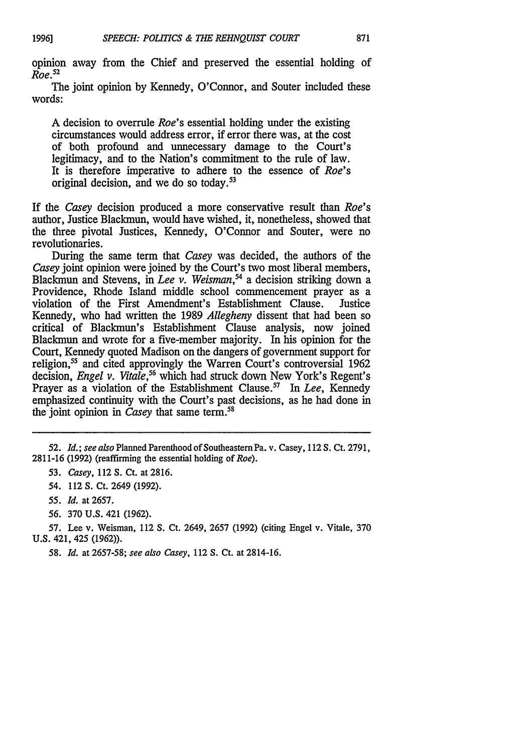opinion away from the Chief and preserved the essential holding of *Roe.52*

The joint opinion by Kennedy, O'Connor, and Souter included these words:

A decision to overrule *Roe's* essential holding under the existing circumstances would address error, if error there was, at the cost of both profound and unnecessary damage to the Court's legitimacy, and to the Nation's commitment to the rule of law. It is therefore imperative to adhere to the essence of *Roe's* original decision, and we do so today. $53$ 

If the *Casey* decision produced a more conservative result than *Roe's* author, Justice Blackmun, would have wished, it, nonetheless, showed that the three pivotal Justices, Kennedy, O'Connor and Souter, were no revolutionaries.

During the same term that *Casey* was decided, the authors of the *Casey* joint opinion were joined by the Court's two most liberal members, Blackmun and Stevens, in *Lee v. Weisman, <sup>4</sup>*a decision striking down a Providence, Rhode Island middle school commencement prayer as a violation of the First Amendment's Establishment Clause. Kennedy, who had written the 1989 *Allegheny* dissent that had been so critical of Blackmun's Establishment Clause analysis, now joined Blackmun and wrote for a five-member majority. In his opinion for the Court, Kennedy quoted Madison on the dangers of government support for religion,<sup>55</sup> and cited approvingly the Warren Court's controversial 1962 decision, *Engel v. Vitale*,<sup>56</sup> which had struck down New York's Regent's Prayer as a violation of the Establishment Clause.<sup>57</sup> In *Lee*, Kennedy emphasized continuity with the Court's past decisions, as he had done in the joint opinion in *Casey* that same term.<sup>58</sup>

*53. Casey,* 112 S. Ct. at 2816.

*56.* 370 U.S. 421 (1962).

57. Lee v. Weisman, 112 S. Ct. 2649, 2657 (1992) (citing Engel v. Vitale, 370 **U.S.** 421, 425 (1962)).

*58. Id.* at 2657-58; *see also Casey,* 112 S. Ct. at 2814-16.

<sup>52.</sup> *Id.; see also* Planned Parenthood of Southeastern Pa. v. Casey, 112 S. Ct. 2791, 2811-16 (1992) (reaffirming the essential holding of *Roe).*

<sup>54. 112</sup> S. Ct. 2649 (1992).

*<sup>55.</sup> Id.* at 2657.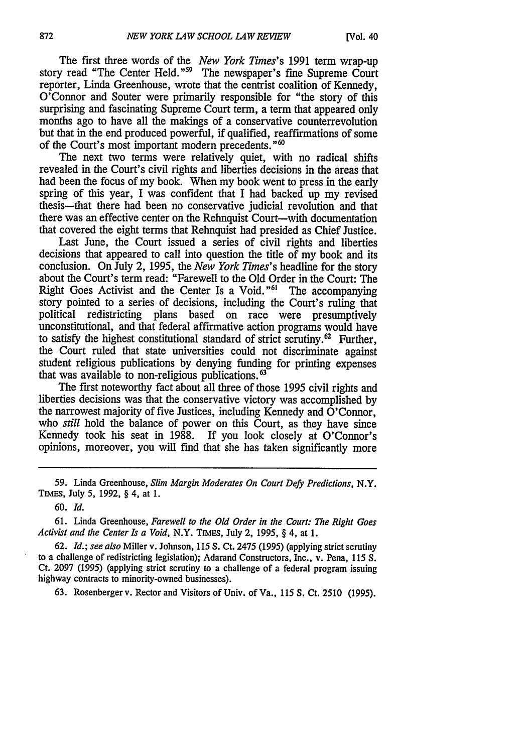The first three words of the *New York Times's* 1991 term wrap-up story read "The Center Held."<sup>59</sup> The newspaper's fine Supreme Court reporter, Linda Greenhouse, wrote that the centrist coalition of Kennedy, O'Connor and Souter were primarily responsible for "the story of this surprising and fascinating Supreme Court term, a term that appeared only months ago to have all the makings of a conservative counterrevolution but that in the end produced powerful, if qualified, reaffirmations of some of the Court's most important modern precedents."<sup>60</sup>

The next two terms were relatively quiet, with no radical shifts revealed in the Court's civil rights and liberties decisions in the areas that had been the focus of my book. When my book went to press in the early spring of this year, I was confident that I had backed up my revised thesis-that there had been no conservative judicial revolution and that there was an effective center on the Rehnquist Court-with documentation that covered the eight terms that Rehnquist had presided as Chief Justice.

Last June, the Court issued a series of civil rights and liberties decisions that appeared to call into question the title of my book and its conclusion. On July 2, 1995, the *New York Times's* headline for the story about the Court's term read: "Farewell to the Old Order in the Court: The Right Goes Activist and the Center Is a Void." $61$  The accompanying story pointed to a series of decisions, including the Court's ruling that political redistricting plans based on race were presumptively unconstitutional, and that federal affirmative action programs would have to satisfy the highest constitutional standard of strict scrutiny.<sup>62</sup> Further, the Court ruled that state universities could not discriminate against student religious publications by denying funding for printing expenses that was available to non-religious publications.'

The first noteworthy fact about all three of those 1995 civil rights and liberties decisions was that the conservative victory was accomplished by the narrowest majority of five Justices, including Kennedy and O'Connor, who *still* hold the balance of power on this Court, as they have since Kennedy took his seat in 1988. If you look closely at O'Connor's opinions, moreover, you will find that she has taken significantly more

59. Linda Greenhouse, *Slim Margin Moderates On Court Defy Predictions,* N.Y. TIMEs, July 5, 1992, § 4, at 1.

**60.** *Id.*

**61.** Linda Greenhouse, *Farewell to the Old Order in the Court: The Right Goes Activist and the Center Is a Void,* N.Y. TIMES, July 2, 1995, § 4, at **1.**

**62.** *Id.; see also* Miller v. Johnson, 115 **S.** Ct. 2475 **(1995)** (applying strict scrutiny to a challenge of redistricting legislation); Adarand Constructors, Inc., v. Pena, **115 S.** Ct. **2097** (1995) (applying strict scrutiny to a challenge of a federal program issuing highway contracts to minority-owned businesses).

**63.** Rosenbergerv. Rector and Visitors of Univ. of Va., **115 S.** Ct. **2510** (1995).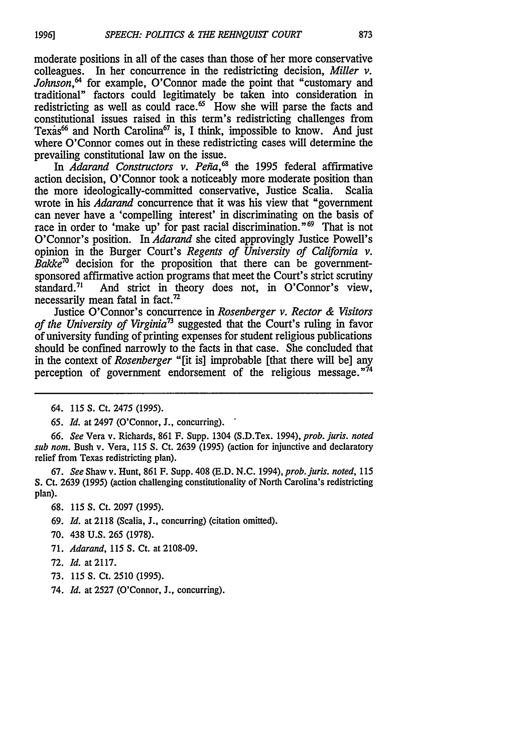moderate positions in all of the cases than those of her more conservative colleagues. In her concurrence in the redistricting decision, *Miller v.* Johnson,<sup>64</sup> for example, O'Connor made the point that "customary and traditional" factors could legitimately be taken into consideration in redistricting as well as could race.<sup> $\infty$ </sup> How she will parse the facts and constitutional issues raised in this term's redistricting challenges from Texas<sup>66</sup> and North Carolina<sup>67</sup> is, I think, impossible to know. And just where O'Connor comes out in these redistricting cases will determine the prevailing constitutional law on the issue.

In *Adarand Constructors v. Peña*,<sup>68</sup> the 1995 federal affirmative action decision, O'Connor took a noticeably more moderate position than the more ideologically-committed conservative, Justice Scalia. Scalia wrote in his *Adarand* concurrence that it was his view that "government can never have a 'compelling interest' in discriminating on the basis of race in order to 'make up' for past racial discrimination."<sup>69</sup> That is not O'Connor's position. In *Adarand* she cited approvingly Justice Powell's opinion in the Burger Court's *Regents of University of California v. Bakke*<sup>70</sup> decision for the proposition that there can be governmentsponsored affirmative action programs that meet the Court's strict scrutiny standard.<sup>71</sup> And strict in theory does not, in O'Connor's view, necessarily mean fatal in fact.<sup>72</sup>

Justice O'Connor's concurrence in *Rosenberger v. Rector & Visitors of the University of Virginia*<sup>73</sup> suggested that the Court's ruling in favor of university funding of printing expenses for student religious publications should be confined narrowly to the facts in that case. She concluded that in the context of *Rosenberger* "[it is] improbable [that there will be] any perception of government endorsement of the religious message. $n\bar{4}$ 

**19961**

*66. See* Vera v. Richards, 861 F. Supp. 1304 (S.D.Tex. 1994), *prob. juris. noted* sub *nom.* Bush v. Vera, 115 S. Ct. 2639 (1995) (action for injunctive and declaratory relief from Texas redistricting plan).

67. *See* Shaw v. Hunt, 861 F. Supp. 408 (E.D. N.C. *1994), prob. juris. noted,* <sup>115</sup> S. Ct. 2639 **(1995)** (action challenging constitutionality of North Carolina's redistricting plan).

- 68. 115 S. Ct. 2097 (1995).
- 69. *Id.* at 2118 (Scalia, **J.,** concurring) (citation omitted).
- 70. 438 U.S. 265 (1978).
- 71. *Adarand,* 115 *S.* Ct. at 2108-09.
- 72. *Id.* at 2117.
- 73. 115 *S.* Ct. 2510 (1995).
- 74. *Id.* at 2527 (O'Connor, J., concurring).

<sup>64. 115</sup> S. Ct. 2475 (1995).

*<sup>65.</sup> Id.* at 2497 (O'Connor, J., concurring).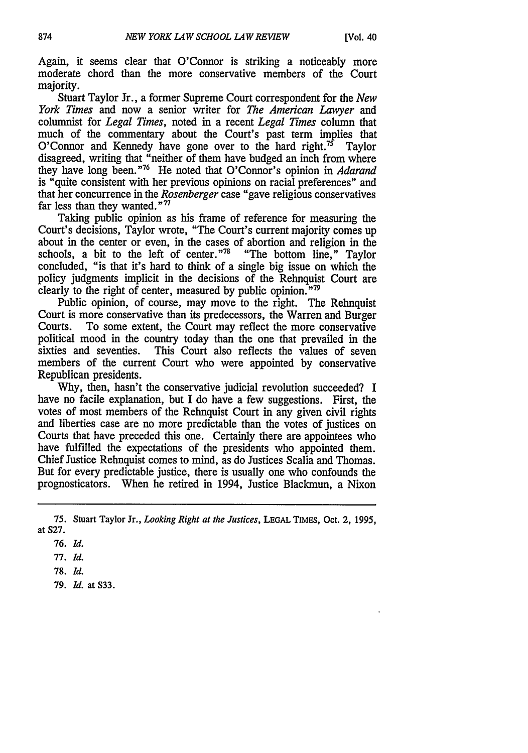Again, it seems clear that O'Connor is striking a noticeably more moderate chord than the more conservative members of the Court majority.

Stuart Taylor Jr., a former Supreme Court correspondent for the *New York Times* and now a senior writer for *The American Lawyer* and columnist for *Legal Times,* noted in a recent *Legal Times* column that much of the commentary about the Court's past term implies that O'Connor and Kennedy have gone over to the hard right.<sup>75</sup> Taylor disagreed, writing that "neither of them have budged an inch from where they have long been."76 He noted that O'Connor's opinion in *Adarand* is "quite consistent with her previous opinions on racial preferences" and that her concurrence in the *Rosenberger* case "gave religious conservatives far less than they wanted." $77$ 

Taking public opinion as his frame of reference for measuring the Court's decisions, Taylor wrote, "The Court's current majority comes up about in the center or even, in the cases of abortion and religion in the schools, a bit to the left of center."<sup>78</sup> "The bottom line." Taylor schools, a bit to the left of center." $78$ concluded, "is that it's hard to think of a single big issue on which the policy judgments implicit in the decisions of the Rehnquist Court are clearly to the right of center, measured by public opinion.<sup>"79</sup>

Public opinion, of course, may move to the right. The Rehnquist Court is more conservative than its predecessors, the Warren and Burger Courts. To some extent, the Court may reflect the more conservative political mood in the country today than the one that prevailed in the sixties and seventies. This Court also reflects the values of seven members of the current Court who were appointed by conservative Republican presidents.

Why, then, hasn't the conservative judicial revolution succeeded? I have no facile explanation, but I do have a few suggestions. First, the votes of most members of the Rehnquist Court in any given civil rights and liberties case are no more predictable than the votes of justices on Courts that have preceded this one. Certainly there are appointees who have fulfilled the expectations of the presidents who appointed them. Chief Justice Rehnquist comes to mind, as do Justices Scalia and Thomas. But for every predictable justice, there is usually one who confounds the prognosticators. When he retired in 1994, Justice Blackmun, a Nixon

77. *Id.*

- 78. *Id.*
- 79. *Id.* at S33.

<sup>75.</sup> Stuart Taylor Jr., *Looking Right at the Justices,* **LEGAL TIMES,** Oct. 2, 1995, at S27.

<sup>76.</sup> *Id.*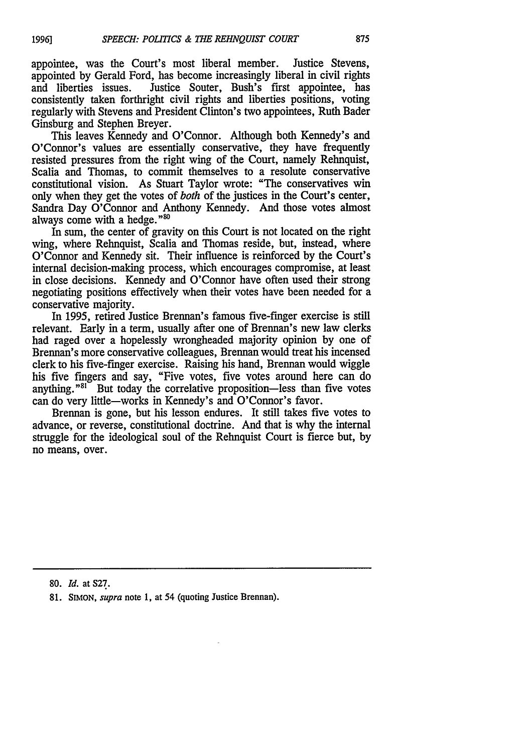appointee, was the Court's most liberal member. Justice Stevens, appointed by Gerald Ford, has become increasingly liberal in civil rights<br>and liberties issues. Justice Souter. Bush's first appointee. has Justice Souter, Bush's first appointee, has consistently taken forthright civil rights and liberties positions, voting regularly with Stevens and President Clinton's two appointees, Ruth Bader Ginsburg and Stephen Breyer.

This leaves Kennedy and O'Connor. Although both Kennedy's and O'Connor's values are essentially conservative, they have frequently resisted pressures from the right wing of the Court, namely Rehnquist, Scalia and Thomas, to commit themselves to a resolute conservative constitutional vision. As Stuart Taylor wrote: "The conservatives win only when they get the votes of *both* of the justices in the Court's center, Sandra Day O'Connor and Anthony Kennedy. And those votes almost always come with a hedge."<sup>80</sup>

In sum, the center of gravity on this Court is not located on the right wing, where Rehnquist, Scalia and Thomas reside, but, instead, where O'Connor and Kennedy sit. Their influence is reinforced by the Court's internal decision-making process, which encourages compromise, at least in close decisions. Kennedy and O'Connor have often used their strong negotiating positions effectively when their votes have been needed for a conservative majority.

In 1995, retired Justice Brennan's famous five-finger exercise is still relevant. Early in a term, usually after one of Brennan's new law clerks had raged over a hopelessly wrongheaded majority opinion by one of Brennan's more conservative colleagues, Brennan would treat his incensed clerk to his five-finger exercise. Raising his hand, Brennan would wiggle his five fingers and say, "Five votes, five votes around here can do anything." $81$  But today the correlative proposition—less than five votes can do very little-works in Kennedy's and O'Connor's favor.

Brennan is gone, but his lesson endures. It still takes five votes to advance, or reverse, constitutional doctrine. And that is why the internal struggle for the ideological soul of the Rehnquist Court is fierce but, by no means, over.

80. *Id.* at S27.

**19961**

**<sup>81.</sup>** SIMON, *supra* note 1, at 54 (quoting Justice Brennan).